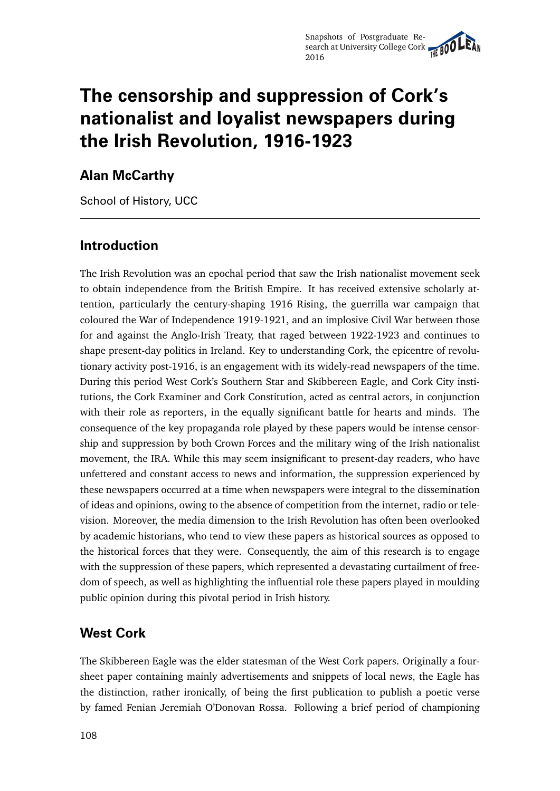# **The censorship and suppression of Cork's nationalist and loyalist newspapers during the Irish Revolution, 1916-1923**

#### **Alan McCarthy**

School of History, UCC

#### **Introduction**

The Irish Revolution was an epochal period that saw the Irish nationalist movement seek to obtain independence from the British Empire. It has received extensive scholarly attention, particularly the century-shaping 1916 Rising, the guerrilla war campaign that coloured the War of Independence 1919-1921, and an implosive Civil War between those for and against the Anglo-Irish Treaty, that raged between 1922-1923 and continues to shape present-day politics in Ireland. Key to understanding Cork, the epicentre of revolutionary activity post-1916, is an engagement with its widely-read newspapers of the time. During this period West Cork's Southern Star and Skibbereen Eagle, and Cork City institutions, the Cork Examiner and Cork Constitution, acted as central actors, in conjunction with their role as reporters, in the equally significant battle for hearts and minds. The consequence of the key propaganda role played by these papers would be intense censorship and suppression by both Crown Forces and the military wing of the Irish nationalist movement, the IRA. While this may seem insignificant to present-day readers, who have unfettered and constant access to news and information, the suppression experienced by these newspapers occurred at a time when newspapers were integral to the dissemination of ideas and opinions, owing to the absence of competition from the internet, radio or television. Moreover, the media dimension to the Irish Revolution has often been overlooked by academic historians, who tend to view these papers as historical sources as opposed to the historical forces that they were. Consequently, the aim of this research is to engage with the suppression of these papers, which represented a devastating curtailment of freedom of speech, as well as highlighting the influential role these papers played in moulding public opinion during this pivotal period in Irish history.

#### **West Cork**

The Skibbereen Eagle was the elder statesman of the West Cork papers. Originally a foursheet paper containing mainly advertisements and snippets of local news, the Eagle has the distinction, rather ironically, of being the first publication to publish a poetic verse by famed Fenian Jeremiah O'Donovan Rossa. Following a brief period of championing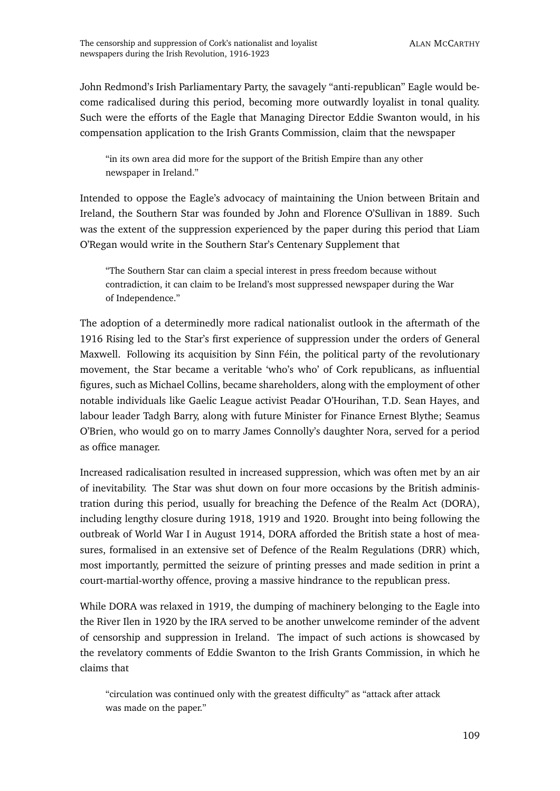John Redmond's Irish Parliamentary Party, the savagely "anti-republican" Eagle would become radicalised during this period, becoming more outwardly loyalist in tonal quality. Such were the efforts of the Eagle that Managing Director Eddie Swanton would, in his compensation application to the Irish Grants Commission, claim that the newspaper

"in its own area did more for the support of the British Empire than any other newspaper in Ireland."

Intended to oppose the Eagle's advocacy of maintaining the Union between Britain and Ireland, the Southern Star was founded by John and Florence O'Sullivan in 1889. Such was the extent of the suppression experienced by the paper during this period that Liam O'Regan would write in the Southern Star's Centenary Supplement that

"The Southern Star can claim a special interest in press freedom because without contradiction, it can claim to be Ireland's most suppressed newspaper during the War of Independence."

The adoption of a determinedly more radical nationalist outlook in the aftermath of the 1916 Rising led to the Star's first experience of suppression under the orders of General Maxwell. Following its acquisition by Sinn Féin, the political party of the revolutionary movement, the Star became a veritable 'who's who' of Cork republicans, as influential figures, such as Michael Collins, became shareholders, along with the employment of other notable individuals like Gaelic League activist Peadar O'Hourihan, T.D. Sean Hayes, and labour leader Tadgh Barry, along with future Minister for Finance Ernest Blythe; Seamus O'Brien, who would go on to marry James Connolly's daughter Nora, served for a period as office manager.

Increased radicalisation resulted in increased suppression, which was often met by an air of inevitability. The Star was shut down on four more occasions by the British administration during this period, usually for breaching the Defence of the Realm Act (DORA), including lengthy closure during 1918, 1919 and 1920. Brought into being following the outbreak of World War I in August 1914, DORA afforded the British state a host of measures, formalised in an extensive set of Defence of the Realm Regulations (DRR) which, most importantly, permitted the seizure of printing presses and made sedition in print a court-martial-worthy offence, proving a massive hindrance to the republican press.

While DORA was relaxed in 1919, the dumping of machinery belonging to the Eagle into the River Ilen in 1920 by the IRA served to be another unwelcome reminder of the advent of censorship and suppression in Ireland. The impact of such actions is showcased by the revelatory comments of Eddie Swanton to the Irish Grants Commission, in which he claims that

"circulation was continued only with the greatest difficulty" as "attack after attack was made on the paper."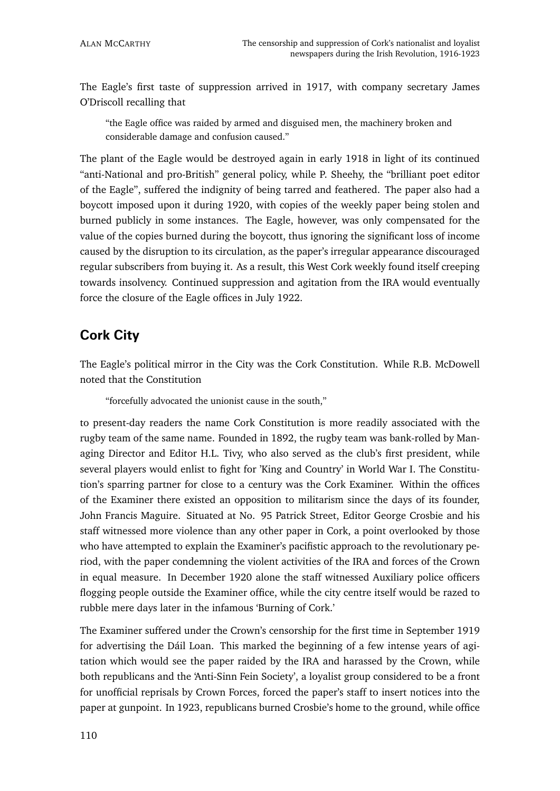The Eagle's first taste of suppression arrived in 1917, with company secretary James O'Driscoll recalling that

"the Eagle office was raided by armed and disguised men, the machinery broken and considerable damage and confusion caused."

The plant of the Eagle would be destroyed again in early 1918 in light of its continued "anti-National and pro-British" general policy, while P. Sheehy, the "brilliant poet editor of the Eagle", suffered the indignity of being tarred and feathered. The paper also had a boycott imposed upon it during 1920, with copies of the weekly paper being stolen and burned publicly in some instances. The Eagle, however, was only compensated for the value of the copies burned during the boycott, thus ignoring the significant loss of income caused by the disruption to its circulation, as the paper's irregular appearance discouraged regular subscribers from buying it. As a result, this West Cork weekly found itself creeping towards insolvency. Continued suppression and agitation from the IRA would eventually force the closure of the Eagle offices in July 1922.

### **Cork City**

The Eagle's political mirror in the City was the Cork Constitution. While R.B. McDowell noted that the Constitution

"forcefully advocated the unionist cause in the south,"

to present-day readers the name Cork Constitution is more readily associated with the rugby team of the same name. Founded in 1892, the rugby team was bank-rolled by Managing Director and Editor H.L. Tivy, who also served as the club's first president, while several players would enlist to fight for 'King and Country' in World War I. The Constitution's sparring partner for close to a century was the Cork Examiner. Within the offices of the Examiner there existed an opposition to militarism since the days of its founder, John Francis Maguire. Situated at No. 95 Patrick Street, Editor George Crosbie and his staff witnessed more violence than any other paper in Cork, a point overlooked by those who have attempted to explain the Examiner's pacifistic approach to the revolutionary period, with the paper condemning the violent activities of the IRA and forces of the Crown in equal measure. In December 1920 alone the staff witnessed Auxiliary police officers flogging people outside the Examiner office, while the city centre itself would be razed to rubble mere days later in the infamous 'Burning of Cork.'

The Examiner suffered under the Crown's censorship for the first time in September 1919 for advertising the Dáil Loan. This marked the beginning of a few intense years of agitation which would see the paper raided by the IRA and harassed by the Crown, while both republicans and the 'Anti-Sinn Fein Society', a loyalist group considered to be a front for unofficial reprisals by Crown Forces, forced the paper's staff to insert notices into the paper at gunpoint. In 1923, republicans burned Crosbie's home to the ground, while office